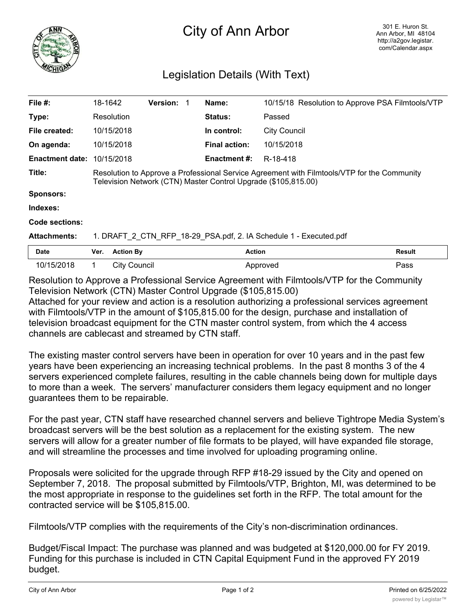

## City of Ann Arbor

## Legislation Details (With Text)

| File $#$ :                                                                                  | 18-1642                                                                                                                                                       |                     | <b>Version:</b> |  | Name:                |                     | 10/15/18 Resolution to Approve PSA Filmtools/VTP |
|---------------------------------------------------------------------------------------------|---------------------------------------------------------------------------------------------------------------------------------------------------------------|---------------------|-----------------|--|----------------------|---------------------|--------------------------------------------------|
| Type:                                                                                       |                                                                                                                                                               | Resolution          |                 |  | Status:              | Passed              |                                                  |
| File created:                                                                               |                                                                                                                                                               | 10/15/2018          |                 |  | In control:          | <b>City Council</b> |                                                  |
| On agenda:                                                                                  |                                                                                                                                                               | 10/15/2018          |                 |  | <b>Final action:</b> | 10/15/2018          |                                                  |
| <b>Enactment date:</b>                                                                      |                                                                                                                                                               | 10/15/2018          |                 |  | <b>Enactment #:</b>  | R-18-418            |                                                  |
| Title:                                                                                      | Resolution to Approve a Professional Service Agreement with Filmtools/VTP for the Community<br>Television Network (CTN) Master Control Upgrade (\$105,815.00) |                     |                 |  |                      |                     |                                                  |
| <b>Sponsors:</b>                                                                            |                                                                                                                                                               |                     |                 |  |                      |                     |                                                  |
| Indexes:                                                                                    |                                                                                                                                                               |                     |                 |  |                      |                     |                                                  |
| <b>Code sections:</b>                                                                       |                                                                                                                                                               |                     |                 |  |                      |                     |                                                  |
| <b>Attachments:</b>                                                                         | 1. DRAFT_2_CTN_RFP_18-29_PSA.pdf, 2. IA Schedule 1 - Executed.pdf                                                                                             |                     |                 |  |                      |                     |                                                  |
| <b>Date</b>                                                                                 | Ver.                                                                                                                                                          | <b>Action By</b>    |                 |  | <b>Action</b>        |                     | <b>Result</b>                                    |
| 10/15/2018                                                                                  | 1.                                                                                                                                                            | <b>City Council</b> |                 |  |                      | Approved            | Pass                                             |
| Resolution to Approve a Professional Service Agreement with Filmtools/VTP for the Community |                                                                                                                                                               |                     |                 |  |                      |                     |                                                  |

Television Network (CTN) Master Control Upgrade (\$105,815.00) Attached for your review and action is a resolution authorizing a professional services agreement with Filmtools/VTP in the amount of \$105,815.00 for the design, purchase and installation of television broadcast equipment for the CTN master control system, from which the 4 access channels are cablecast and streamed by CTN staff.

The existing master control servers have been in operation for over 10 years and in the past few years have been experiencing an increasing technical problems. In the past 8 months 3 of the 4 servers experienced complete failures, resulting in the cable channels being down for multiple days to more than a week. The servers' manufacturer considers them legacy equipment and no longer guarantees them to be repairable.

For the past year, CTN staff have researched channel servers and believe Tightrope Media System's broadcast servers will be the best solution as a replacement for the existing system. The new servers will allow for a greater number of file formats to be played, will have expanded file storage, and will streamline the processes and time involved for uploading programing online.

Proposals were solicited for the upgrade through RFP #18-29 issued by the City and opened on September 7, 2018. The proposal submitted by Filmtools/VTP, Brighton, MI, was determined to be the most appropriate in response to the guidelines set forth in the RFP. The total amount for the contracted service will be \$105,815.00.

Filmtools/VTP complies with the requirements of the City's non-discrimination ordinances.

Budget/Fiscal Impact: The purchase was planned and was budgeted at \$120,000.00 for FY 2019. Funding for this purchase is included in CTN Capital Equipment Fund in the approved FY 2019 budget.